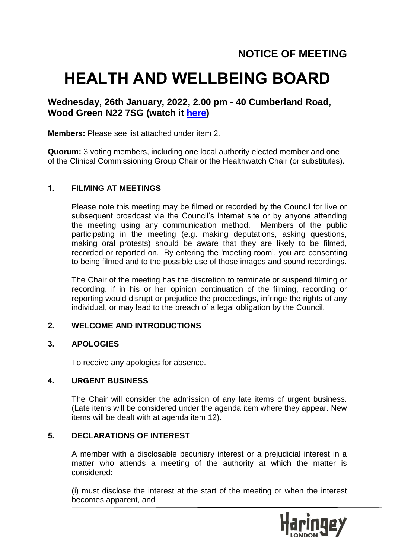# **HEALTH AND WELLBEING BOARD**

## **Wednesday, 26th January, 2022, 2.00 pm - 40 Cumberland Road, Wood Green N22 7SG (watch it [here\)](https://teams.microsoft.com/l/meetup-join/19%3ameeting_NDI4YmUzNGItOWJkMC00N2RjLWIyOTEtNmZmYjU2MWZmMWQ3%40thread.v2/0?context=%7b%22Tid%22%3a%226ddfa760-8cd5-44a8-8e48-d8ca487731c3%22%2c%22Oid%22%3a%22515ca3a4-dc98-4c16-9d83-85d643583e43%22%7d)**

#### **Members:** Please see list attached under item 2.

**Quorum:** 3 voting members, including one local authority elected member and one of the Clinical Commissioning Group Chair or the Healthwatch Chair (or substitutes).

#### **1. FILMING AT MEETINGS**

Please note this meeting may be filmed or recorded by the Council for live or subsequent broadcast via the Council's internet site or by anyone attending the meeting using any communication method. Members of the public participating in the meeting (e.g. making deputations, asking questions, making oral protests) should be aware that they are likely to be filmed, recorded or reported on. By entering the 'meeting room', you are consenting to being filmed and to the possible use of those images and sound recordings.

The Chair of the meeting has the discretion to terminate or suspend filming or recording, if in his or her opinion continuation of the filming, recording or reporting would disrupt or prejudice the proceedings, infringe the rights of any individual, or may lead to the breach of a legal obligation by the Council.

#### **2. WELCOME AND INTRODUCTIONS**

#### **3. APOLOGIES**

To receive any apologies for absence.

#### **4. URGENT BUSINESS**

The Chair will consider the admission of any late items of urgent business. (Late items will be considered under the agenda item where they appear. New items will be dealt with at agenda item 12).

#### **5. DECLARATIONS OF INTEREST**

A member with a disclosable pecuniary interest or a prejudicial interest in a matter who attends a meeting of the authority at which the matter is considered:

(i) must disclose the interest at the start of the meeting or when the interest becomes apparent, and

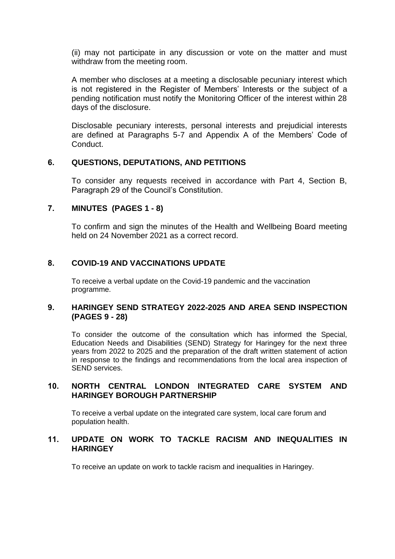(ii) may not participate in any discussion or vote on the matter and must withdraw from the meeting room.

A member who discloses at a meeting a disclosable pecuniary interest which is not registered in the Register of Members' Interests or the subject of a pending notification must notify the Monitoring Officer of the interest within 28 days of the disclosure.

Disclosable pecuniary interests, personal interests and prejudicial interests are defined at Paragraphs 5-7 and Appendix A of the Members' Code of Conduct.

#### **6. QUESTIONS, DEPUTATIONS, AND PETITIONS**

To consider any requests received in accordance with Part 4, Section B, Paragraph 29 of the Council's Constitution.

#### **7. MINUTES (PAGES 1 - 8)**

To confirm and sign the minutes of the Health and Wellbeing Board meeting held on 24 November 2021 as a correct record.

#### **8. COVID-19 AND VACCINATIONS UPDATE**

To receive a verbal update on the Covid-19 pandemic and the vaccination programme.

#### **9. HARINGEY SEND STRATEGY 2022-2025 AND AREA SEND INSPECTION (PAGES 9 - 28)**

To consider the outcome of the consultation which has informed the Special, Education Needs and Disabilities (SEND) Strategy for Haringey for the next three years from 2022 to 2025 and the preparation of the draft written statement of action in response to the findings and recommendations from the local area inspection of SEND services.

#### **10. NORTH CENTRAL LONDON INTEGRATED CARE SYSTEM AND HARINGEY BOROUGH PARTNERSHIP**

To receive a verbal update on the integrated care system, local care forum and population health.

#### **11. UPDATE ON WORK TO TACKLE RACISM AND INEQUALITIES IN HARINGEY**

To receive an update on work to tackle racism and inequalities in Haringey.